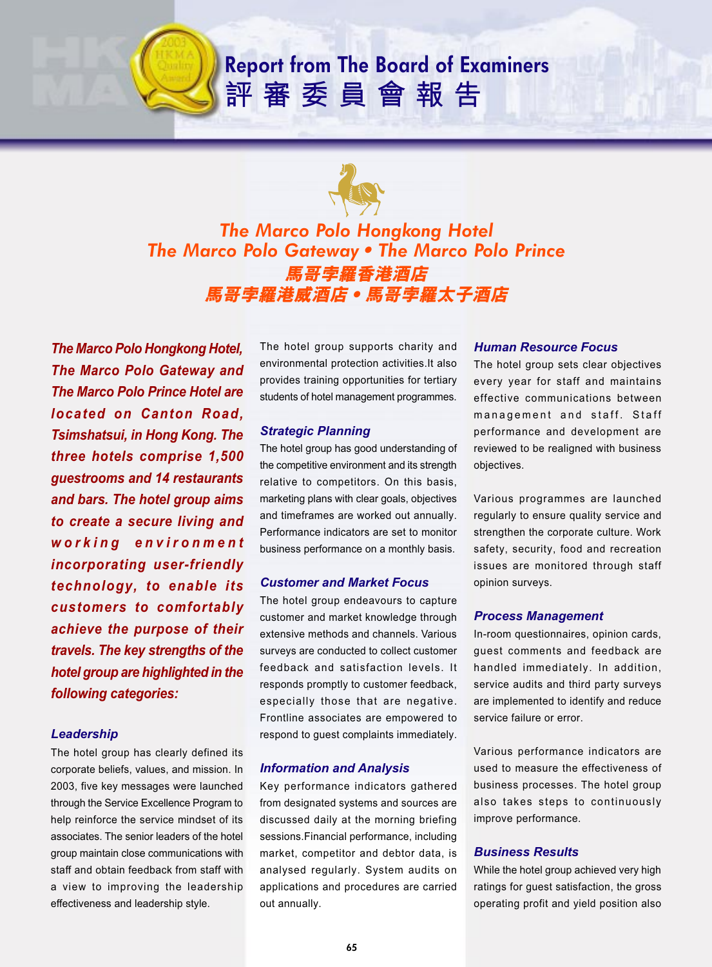# **Report from The Board of Examiners** 評審委員會報告



# *The Marco Polo Hongkong Hotel The Marco Polo GatewayThe Marco Polo Prince* 馬哥孛羅香港酒店 馬哥孛羅港威酒店 • 馬哥孛羅太子酒店

*The Marco Polo Hongkong Hotel, The Marco Polo Gateway and The Marco Polo Prince Hotel are located on Canton Road, Tsimshatsui, in Hong Kong. The three hotels comprise 1,500 guestrooms and 14 restaurants and bars. The hotel group aims to create a secure living and working environment incorporating user-friendly technology, to enable its customers to comfortably achieve the purpose of their travels. The key strengths of the hotel group are highlighted in the following categories:*

### *Leadership*

The hotel group has clearly defined its corporate beliefs, values, and mission. In 2003, five key messages were launched through the Service Excellence Program to help reinforce the service mindset of its associates. The senior leaders of the hotel group maintain close communications with staff and obtain feedback from staff with a view to improving the leadership effectiveness and leadership style.

The hotel group supports charity and environmental protection activities.It also provides training opportunities for tertiary students of hotel management programmes.

### *Strategic Planning*

The hotel group has good understanding of the competitive environment and its strength relative to competitors. On this basis, marketing plans with clear goals, objectives and timeframes are worked out annually. Performance indicators are set to monitor business performance on a monthly basis.

### *Customer and Market Focus*

The hotel group endeavours to capture customer and market knowledge through extensive methods and channels. Various surveys are conducted to collect customer feedback and satisfaction levels. It responds promptly to customer feedback, especially those that are negative. Frontline associates are empowered to respond to guest complaints immediately.

### *Information and Analysis*

Key performance indicators gathered from designated systems and sources are discussed daily at the morning briefing sessions.Financial performance, including market, competitor and debtor data, is analysed regularly. System audits on applications and procedures are carried out annually.

#### *Human Resource Focus*

The hotel group sets clear objectives every year for staff and maintains effective communications between management and staff. Staff performance and development are reviewed to be realigned with business objectives.

Various programmes are launched regularly to ensure quality service and strengthen the corporate culture. Work safety, security, food and recreation issues are monitored through staff opinion surveys.

### *Process Management*

In-room questionnaires, opinion cards, guest comments and feedback are handled immediately. In addition, service audits and third party surveys are implemented to identify and reduce service failure or error.

Various performance indicators are used to measure the effectiveness of business processes. The hotel group also takes steps to continuously improve performance.

### *Business Results*

While the hotel group achieved very high ratings for guest satisfaction, the gross operating profit and yield position also